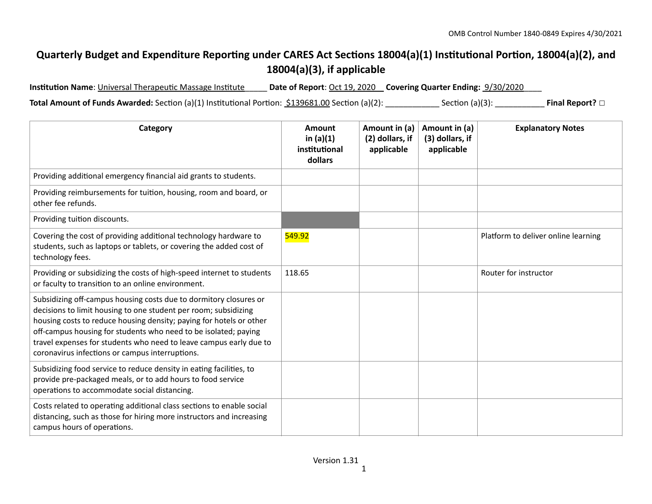## Quarterly Budget and Expenditure Reporting under CARES Act Sections 18004(a)(1) Institutional Portion, 18004(a)(2), and **18004(a)(3), if applicable**

Institution Name: Universal Therapeutic Massage Institute **Date of Report**: Oct 19, 2020 **Covering Quarter Ending:** 9/30/2020

**Total Amount of Funds Awarded:** Section (a)(1) Institutional Portion: <u>\$139681.00</u> Section (a)(2): \_\_\_\_\_\_\_\_\_\_\_\_\_ Section (a)(3): \_\_\_\_\_\_\_\_\_\_\_\_\_ **Final Report?** □

| Category                                                                                                                                                                                                                                                                                                                                                                                                | <b>Amount</b><br>in $(a)(1)$<br>institutional<br>dollars | Amount in (a)<br>(2) dollars, if<br>applicable | Amount in (a)<br>(3) dollars, if<br>applicable | <b>Explanatory Notes</b>            |
|---------------------------------------------------------------------------------------------------------------------------------------------------------------------------------------------------------------------------------------------------------------------------------------------------------------------------------------------------------------------------------------------------------|----------------------------------------------------------|------------------------------------------------|------------------------------------------------|-------------------------------------|
| Providing additional emergency financial aid grants to students.                                                                                                                                                                                                                                                                                                                                        |                                                          |                                                |                                                |                                     |
| Providing reimbursements for tuition, housing, room and board, or<br>other fee refunds.                                                                                                                                                                                                                                                                                                                 |                                                          |                                                |                                                |                                     |
| Providing tuition discounts.                                                                                                                                                                                                                                                                                                                                                                            |                                                          |                                                |                                                |                                     |
| Covering the cost of providing additional technology hardware to<br>students, such as laptops or tablets, or covering the added cost of<br>technology fees.                                                                                                                                                                                                                                             | 549.92                                                   |                                                |                                                | Platform to deliver online learning |
| Providing or subsidizing the costs of high-speed internet to students<br>or faculty to transition to an online environment.                                                                                                                                                                                                                                                                             | 118.65                                                   |                                                |                                                | Router for instructor               |
| Subsidizing off-campus housing costs due to dormitory closures or<br>decisions to limit housing to one student per room; subsidizing<br>housing costs to reduce housing density; paying for hotels or other<br>off-campus housing for students who need to be isolated; paying<br>travel expenses for students who need to leave campus early due to<br>coronavirus infections or campus interruptions. |                                                          |                                                |                                                |                                     |
| Subsidizing food service to reduce density in eating facilities, to<br>provide pre-packaged meals, or to add hours to food service<br>operations to accommodate social distancing.                                                                                                                                                                                                                      |                                                          |                                                |                                                |                                     |
| Costs related to operating additional class sections to enable social<br>distancing, such as those for hiring more instructors and increasing<br>campus hours of operations.                                                                                                                                                                                                                            |                                                          |                                                |                                                |                                     |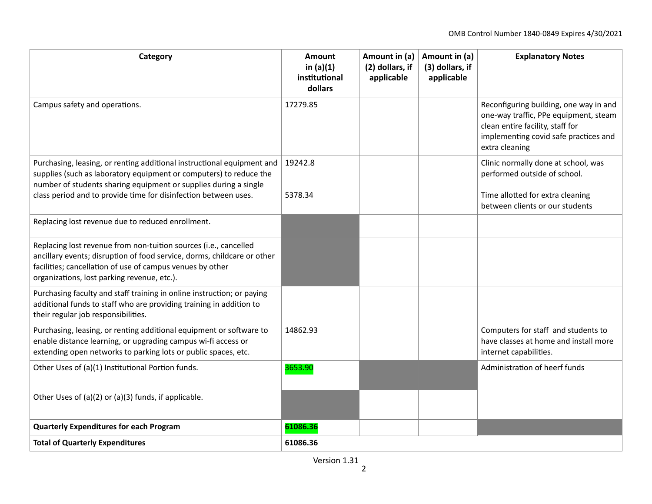| Category                                                                                                                                                                                                                                                                            | Amount<br>in $(a)(1)$<br>institutional<br>dollars | Amount in (a)<br>(2) dollars, if<br>applicable | Amount in (a)<br>(3) dollars, if<br>applicable | <b>Explanatory Notes</b>                                                                                                                                                       |
|-------------------------------------------------------------------------------------------------------------------------------------------------------------------------------------------------------------------------------------------------------------------------------------|---------------------------------------------------|------------------------------------------------|------------------------------------------------|--------------------------------------------------------------------------------------------------------------------------------------------------------------------------------|
| Campus safety and operations.                                                                                                                                                                                                                                                       | 17279.85                                          |                                                |                                                | Reconfiguring building, one way in and<br>one-way traffic, PPe equipment, steam<br>clean entire facility, staff for<br>implementing covid safe practices and<br>extra cleaning |
| Purchasing, leasing, or renting additional instructional equipment and<br>supplies (such as laboratory equipment or computers) to reduce the<br>number of students sharing equipment or supplies during a single<br>class period and to provide time for disinfection between uses. | 19242.8<br>5378.34                                |                                                |                                                | Clinic normally done at school, was<br>performed outside of school.<br>Time allotted for extra cleaning<br>between clients or our students                                     |
| Replacing lost revenue due to reduced enrollment.                                                                                                                                                                                                                                   |                                                   |                                                |                                                |                                                                                                                                                                                |
| Replacing lost revenue from non-tuition sources (i.e., cancelled<br>ancillary events; disruption of food service, dorms, childcare or other<br>facilities; cancellation of use of campus venues by other<br>organizations, lost parking revenue, etc.).                             |                                                   |                                                |                                                |                                                                                                                                                                                |
| Purchasing faculty and staff training in online instruction; or paying<br>additional funds to staff who are providing training in addition to<br>their regular job responsibilities.                                                                                                |                                                   |                                                |                                                |                                                                                                                                                                                |
| Purchasing, leasing, or renting additional equipment or software to<br>enable distance learning, or upgrading campus wi-fi access or<br>extending open networks to parking lots or public spaces, etc.                                                                              | 14862.93                                          |                                                |                                                | Computers for staff and students to<br>have classes at home and install more<br>internet capabilities.                                                                         |
| Other Uses of (a)(1) Institutional Portion funds.                                                                                                                                                                                                                                   | 3653.90                                           |                                                |                                                | Administration of heerf funds                                                                                                                                                  |
| Other Uses of (a)(2) or (a)(3) funds, if applicable.                                                                                                                                                                                                                                |                                                   |                                                |                                                |                                                                                                                                                                                |
| <b>Quarterly Expenditures for each Program</b>                                                                                                                                                                                                                                      | 61086.36                                          |                                                |                                                |                                                                                                                                                                                |
| <b>Total of Quarterly Expenditures</b>                                                                                                                                                                                                                                              | 61086.36                                          |                                                |                                                |                                                                                                                                                                                |